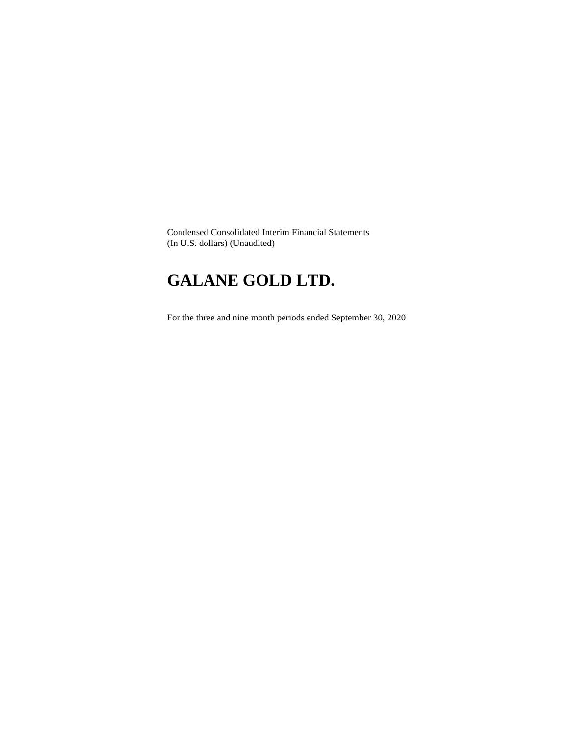Condensed Consolidated Interim Financial Statements (In U.S. dollars) (Unaudited)

# **GALANE GOLD LTD.**

For the three and nine month periods ended September 30, 2020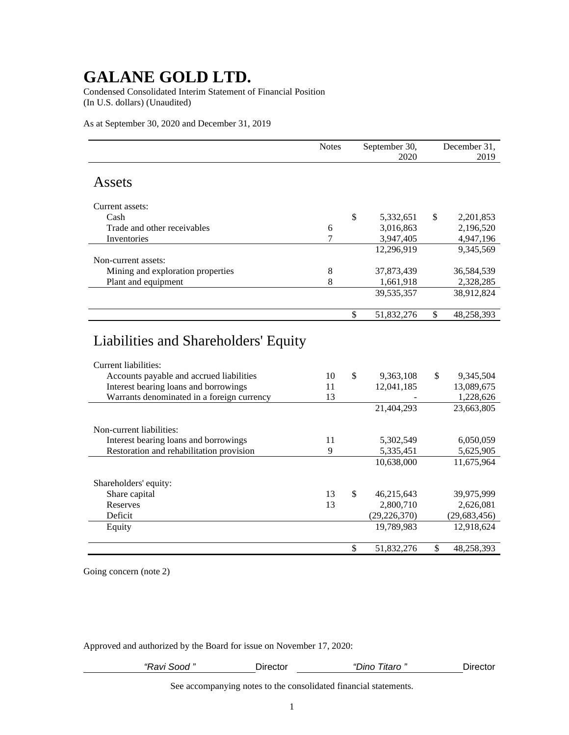Condensed Consolidated Interim Statement of Financial Position (In U.S. dollars) (Unaudited)

As at September 30, 2020 and December 31, 2019

|                                                              | <b>Notes</b> | September 30,<br>2020 |              | December 31,<br>2019 |
|--------------------------------------------------------------|--------------|-----------------------|--------------|----------------------|
|                                                              |              |                       |              |                      |
| Assets                                                       |              |                       |              |                      |
| Current assets:                                              |              |                       |              |                      |
| Cash                                                         |              | \$<br>5,332,651       | \$           | 2,201,853            |
| Trade and other receivables                                  | 6            | 3,016,863             |              | 2,196,520            |
| Inventories                                                  | 7            | 3,947,405             |              | 4,947,196            |
|                                                              |              | 12,296,919            |              | 9,345,569            |
| Non-current assets:                                          |              |                       |              |                      |
| Mining and exploration properties                            | 8            | 37,873,439            |              | 36,584,539           |
| Plant and equipment                                          | 8            | 1,661,918             |              | 2,328,285            |
|                                                              |              | 39,535,357            |              | 38,912,824           |
|                                                              |              |                       |              |                      |
|                                                              |              | \$<br>51,832,276      | $\mathbb{S}$ | 48,258,393           |
| Liabilities and Shareholders' Equity<br>Current liabilities: |              |                       |              |                      |
| Accounts payable and accrued liabilities                     | 10           | \$<br>9,363,108       | \$           | 9,345,504            |
| Interest bearing loans and borrowings                        | 11           | 12,041,185            |              | 13,089,675           |
| Warrants denominated in a foreign currency                   | 13           |                       |              | 1,228,626            |
|                                                              |              | 21,404,293            |              | 23,663,805           |
| Non-current liabilities:                                     |              |                       |              |                      |
| Interest bearing loans and borrowings                        | 11           | 5,302,549             |              | 6,050,059            |
| Restoration and rehabilitation provision                     | 9            | 5,335,451             |              | 5,625,905            |
|                                                              |              | 10,638,000            |              | 11,675,964           |
|                                                              |              |                       |              |                      |
| Shareholders' equity:                                        |              |                       |              |                      |
| Share capital                                                | 13           | \$<br>46,215,643      |              | 39,975,999           |
| Reserves                                                     | 13           | 2,800,710             |              | 2,626,081            |
| Deficit                                                      |              | (29, 226, 370)        |              | (29, 683, 456)       |
| Equity                                                       |              | 19,789,983            |              | 12,918,624           |
|                                                              |              | \$<br>51,832,276      | $\mathbb{S}$ | 48,258,393           |

Going concern (note 2)

Approved and authorized by the Board for issue on November 17, 2020:

| Sood<br>≺avı s | שטector | "Dino<br>⊥itaro ″ | Jirec<br><br>ouu |
|----------------|---------|-------------------|------------------|
|                |         |                   |                  |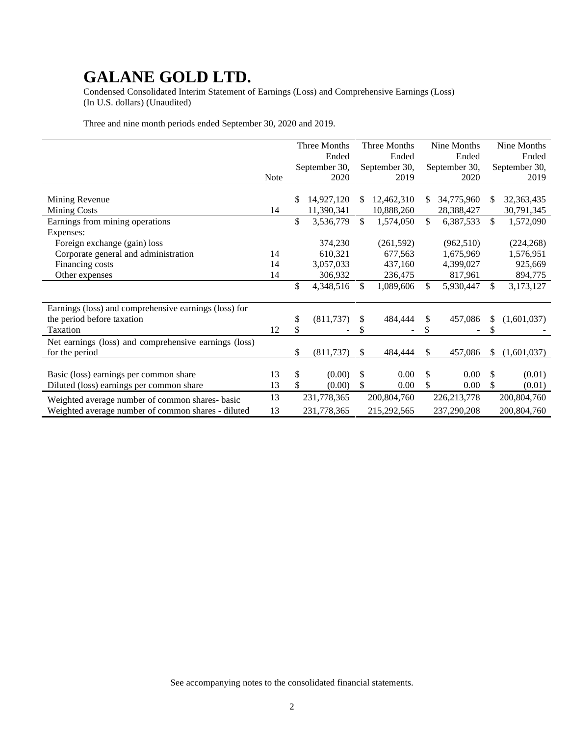Condensed Consolidated Interim Statement of Earnings (Loss) and Comprehensive Earnings (Loss) (In U.S. dollars) (Unaudited)

Three and nine month periods ended September 30, 2020 and 2019.

|                                                       |      |    | Three Months  |     | Three Months  |    | Nine Months   |     | Nine Months   |
|-------------------------------------------------------|------|----|---------------|-----|---------------|----|---------------|-----|---------------|
|                                                       |      |    | Ended         |     | Ended         |    | Ended         |     | Ended         |
|                                                       |      |    | September 30, |     | September 30, |    | September 30, |     | September 30, |
|                                                       | Note |    | 2020          |     | 2019          |    | 2020          |     | 2019          |
| Mining Revenue                                        |      | S  | 14,927,120    | \$. | 12,462,310    | -S | 34,775,960    | S   | 32,363,435    |
| <b>Mining Costs</b>                                   | 14   |    | 11,390,341    |     | 10,888,260    |    | 28,388,427    |     | 30,791,345    |
| Earnings from mining operations                       |      | \$ | 3,536,779     | \$  | 1,574,050     | \$ | 6,387,533     | \$  | 1,572,090     |
| Expenses:                                             |      |    |               |     |               |    |               |     |               |
| Foreign exchange (gain) loss                          |      |    | 374,230       |     | (261, 592)    |    | (962, 510)    |     | (224, 268)    |
| Corporate general and administration                  | 14   |    | 610,321       |     | 677,563       |    | 1,675,969     |     | 1,576,951     |
| Financing costs                                       | 14   |    | 3,057,033     |     | 437,160       |    | 4,399,027     |     | 925,669       |
| Other expenses                                        | 14   |    | 306,932       |     | 236,475       |    | 817,961       |     | 894,775       |
|                                                       |      | \$ | 4,348,516     | \$  | 1,089,606     | \$ | 5,930,447     | \$  | 3,173,127     |
| Earnings (loss) and comprehensive earnings (loss) for |      |    |               |     |               |    |               |     |               |
| the period before taxation                            |      | \$ | (811, 737)    | \$  | 484,444       | \$ | 457,086       | \$  | (1,601,037)   |
| Taxation                                              | 12   |    |               |     |               |    |               |     |               |
| Net earnings (loss) and comprehensive earnings (loss) |      |    |               |     |               |    |               |     |               |
| for the period                                        |      | \$ | (811, 737)    | \$  | 484,444       | S  | 457,086       | \$. | (1,601,037)   |
|                                                       |      |    |               |     |               |    |               |     |               |
| Basic (loss) earnings per common share                | 13   | \$ | (0.00)        | \$  | 0.00          | \$ | 0.00          | \$  | (0.01)        |
| Diluted (loss) earnings per common share              | 13   | \$ | (0.00)        | \$  | 0.00          | \$ | 0.00          | \$  | (0.01)        |
| Weighted average number of common shares-basic        | 13   |    | 231,778,365   |     | 200,804,760   |    | 226, 213, 778 |     | 200,804,760   |
| Weighted average number of common shares - diluted    | 13   |    | 231,778,365   |     | 215,292,565   |    | 237,290,208   |     | 200,804,760   |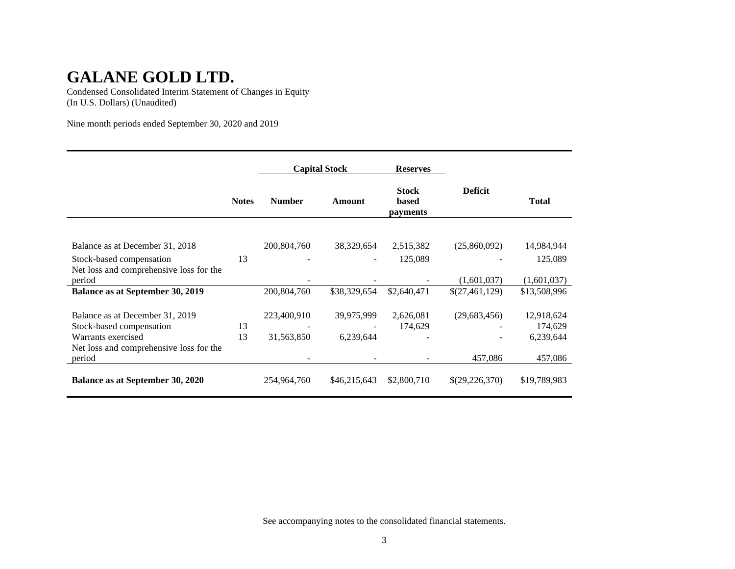Condensed Consolidated Interim Statement of Changes in Equity (In U.S. Dollars) (Unaudited)

Nine month periods ended September 30, 2020 and 2019

|                                         |              | <b>Capital Stock</b> |              | <b>Reserves</b>                   |                |              |
|-----------------------------------------|--------------|----------------------|--------------|-----------------------------------|----------------|--------------|
|                                         | <b>Notes</b> | <b>Number</b>        | Amount       | <b>Stock</b><br>based<br>payments | <b>Deficit</b> | Total        |
|                                         |              |                      |              |                                   |                |              |
| Balance as at December 31, 2018         |              | 200,804,760          | 38,329,654   | 2,515,382                         | (25,860,092)   | 14,984,944   |
| Stock-based compensation                | 13           |                      |              | 125,089                           |                | 125,089      |
| Net loss and comprehensive loss for the |              |                      |              |                                   |                |              |
| period                                  |              |                      |              |                                   | (1,601,037)    | (1,601,037)  |
| Balance as at September 30, 2019        |              | 200,804,760          | \$38,329,654 | \$2,640,471                       | \$(27,461,129) | \$13,508,996 |
|                                         |              |                      |              |                                   |                |              |
| Balance as at December 31, 2019         |              | 223,400,910          | 39,975,999   | 2,626,081                         | (29, 683, 456) | 12,918,624   |
| Stock-based compensation                | 13           |                      |              | 174,629                           |                | 174,629      |
| Warrants exercised                      | 13           | 31,563,850           | 6,239,644    |                                   |                | 6,239,644    |
| Net loss and comprehensive loss for the |              |                      |              |                                   |                |              |
| period                                  |              |                      |              |                                   | 457,086        | 457,086      |
| Balance as at September 30, 2020        |              | 254,964,760          | \$46,215,643 | \$2,800,710                       | \$(29,226,370) | \$19,789,983 |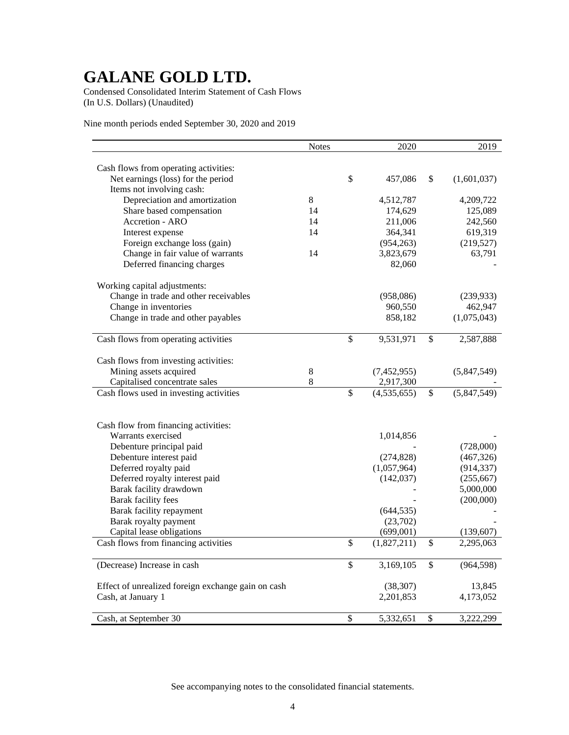Condensed Consolidated Interim Statement of Cash Flows (In U.S. Dollars) (Unaudited)

Nine month periods ended September 30, 2020 and 2019

|                                                    | <b>Notes</b> | 2020              | 2019              |
|----------------------------------------------------|--------------|-------------------|-------------------|
|                                                    |              |                   |                   |
| Cash flows from operating activities:              |              |                   |                   |
| Net earnings (loss) for the period                 |              | \$<br>457,086     | \$<br>(1,601,037) |
| Items not involving cash:                          |              |                   |                   |
| Depreciation and amortization                      | 8            | 4,512,787         | 4,209,722         |
| Share based compensation                           | 14           | 174,629           | 125,089           |
| Accretion - ARO                                    | 14           | 211,006           | 242,560           |
| Interest expense                                   | 14           | 364,341           | 619,319           |
| Foreign exchange loss (gain)                       |              | (954, 263)        | (219,527)         |
| Change in fair value of warrants                   | 14           | 3,823,679         | 63,791            |
| Deferred financing charges                         |              | 82,060            |                   |
| Working capital adjustments:                       |              |                   |                   |
| Change in trade and other receivables              |              | (958,086)         | (239, 933)        |
| Change in inventories                              |              | 960,550           | 462,947           |
| Change in trade and other payables                 |              | 858,182           | (1,075,043)       |
|                                                    |              |                   |                   |
| Cash flows from operating activities               |              | \$<br>9,531,971   | \$<br>2,587,888   |
|                                                    |              |                   |                   |
| Cash flows from investing activities:              |              |                   |                   |
| Mining assets acquired                             | 8            | (7,452,955)       | (5,847,549)       |
| Capitalised concentrate sales                      | 8            | 2,917,300         |                   |
| Cash flows used in investing activities            |              | \$<br>(4,535,655) | \$<br>(5,847,549) |
|                                                    |              |                   |                   |
| Cash flow from financing activities:               |              |                   |                   |
| Warrants exercised                                 |              | 1,014,856         |                   |
| Debenture principal paid                           |              |                   | (728,000)         |
| Debenture interest paid                            |              | (274, 828)        | (467, 326)        |
| Deferred royalty paid                              |              | (1,057,964)       | (914, 337)        |
| Deferred royalty interest paid                     |              | (142, 037)        | (255, 667)        |
| Barak facility drawdown                            |              |                   | 5,000,000         |
| Barak facility fees                                |              |                   | (200,000)         |
| Barak facility repayment                           |              | (644, 535)        |                   |
| Barak royalty payment                              |              | (23,702)          |                   |
| Capital lease obligations                          |              | (699, 001)        | (139, 607)        |
| Cash flows from financing activities               |              | \$<br>(1,827,211) | \$<br>2,295,063   |
|                                                    |              |                   |                   |
| (Decrease) Increase in cash                        |              | \$<br>3,169,105   | \$<br>(964, 598)  |
| Effect of unrealized foreign exchange gain on cash |              | (38, 307)         | 13,845            |
| Cash, at January 1                                 |              | 2,201,853         | 4,173,052         |
|                                                    |              |                   |                   |
| Cash, at September 30                              |              | \$<br>5,332,651   | \$<br>3,222,299   |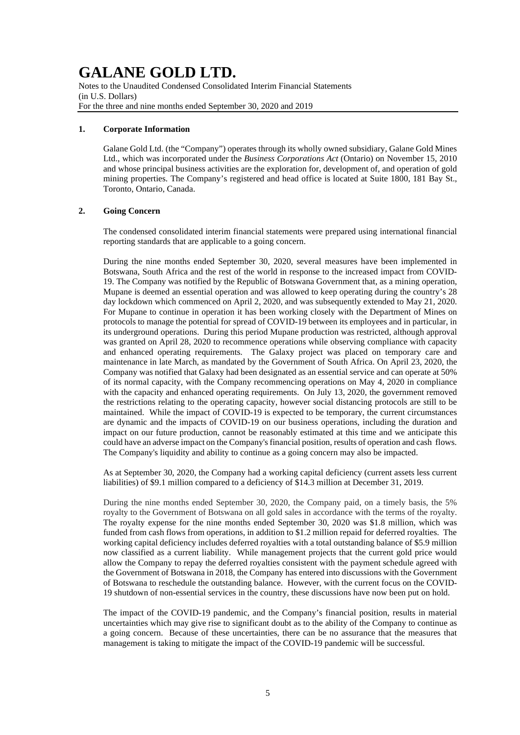Notes to the Unaudited Condensed Consolidated Interim Financial Statements (in U.S. Dollars) For the three and nine months ended September 30, 2020 and 2019

### **1. Corporate Information**

Galane Gold Ltd. (the "Company") operates through its wholly owned subsidiary, Galane Gold Mines Ltd., which was incorporated under the *Business Corporations Act* (Ontario) on November 15, 2010 and whose principal business activities are the exploration for, development of, and operation of gold mining properties. The Company's registered and head office is located at Suite 1800, 181 Bay St., Toronto, Ontario, Canada.

### **2. Going Concern**

The condensed consolidated interim financial statements were prepared using international financial reporting standards that are applicable to a going concern.

During the nine months ended September 30, 2020, several measures have been implemented in Botswana, South Africa and the rest of the world in response to the increased impact from COVID-19. The Company was notified by the Republic of Botswana Government that, as a mining operation, Mupane is deemed an essential operation and was allowed to keep operating during the country's 28 day lockdown which commenced on April 2, 2020, and was subsequently extended to May 21, 2020. For Mupane to continue in operation it has been working closely with the Department of Mines on protocols to manage the potential for spread of COVID-19 between its employees and in particular, in its underground operations. During this period Mupane production was restricted, although approval was granted on April 28, 2020 to recommence operations while observing compliance with capacity and enhanced operating requirements. The Galaxy project was placed on temporary care and maintenance in late March, as mandated by the Government of South Africa. On April 23, 2020, the Company was notified that Galaxy had been designated as an essential service and can operate at 50% of its normal capacity, with the Company recommencing operations on May 4, 2020 in compliance with the capacity and enhanced operating requirements. On July 13, 2020, the government removed the restrictions relating to the operating capacity, however social distancing protocols are still to be maintained. While the impact of COVID-19 is expected to be temporary, the current circumstances are dynamic and the impacts of COVID-19 on our business operations, including the duration and impact on our future production, cannot be reasonably estimated at this time and we anticipate this could have an adverse impact on the Company's financial position, results of operation and cash flows. The Company's liquidity and ability to continue as a going concern may also be impacted.

As at September 30, 2020, the Company had a working capital deficiency (current assets less current liabilities) of \$9.1 million compared to a deficiency of \$14.3 million at December 31, 2019.

During the nine months ended September 30, 2020, the Company paid, on a timely basis, the 5% royalty to the Government of Botswana on all gold sales in accordance with the terms of the royalty. The royalty expense for the nine months ended September 30, 2020 was \$1.8 million, which was funded from cash flows from operations, in addition to \$1.2 million repaid for deferred royalties. The working capital deficiency includes deferred royalties with a total outstanding balance of \$5.9 million now classified as a current liability. While management projects that the current gold price would allow the Company to repay the deferred royalties consistent with the payment schedule agreed with the Government of Botswana in 2018, the Company has entered into discussions with the Government of Botswana to reschedule the outstanding balance. However, with the current focus on the COVID-19 shutdown of non-essential services in the country, these discussions have now been put on hold.

The impact of the COVID-19 pandemic, and the Company's financial position, results in material uncertainties which may give rise to significant doubt as to the ability of the Company to continue as a going concern. Because of these uncertainties, there can be no assurance that the measures that management is taking to mitigate the impact of the COVID-19 pandemic will be successful.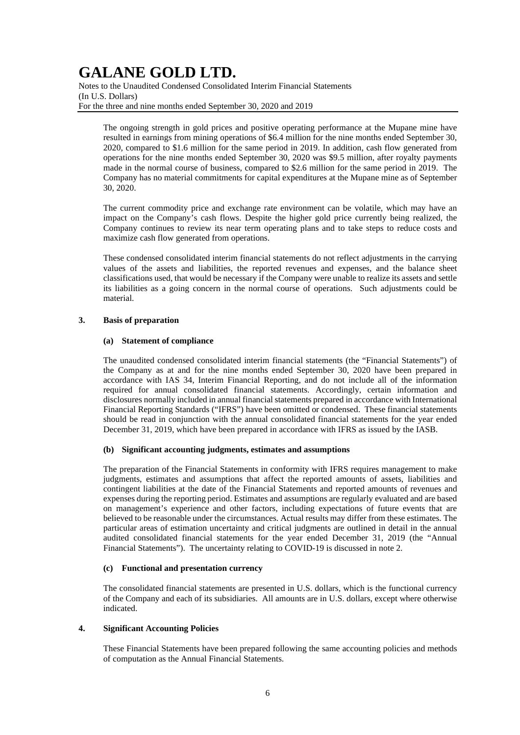Notes to the Unaudited Condensed Consolidated Interim Financial Statements (In U.S. Dollars) For the three and nine months ended September 30, 2020 and 2019

The ongoing strength in gold prices and positive operating performance at the Mupane mine have resulted in earnings from mining operations of \$6.4 million for the nine months ended September 30, 2020, compared to \$1.6 million for the same period in 2019. In addition, cash flow generated from operations for the nine months ended September 30, 2020 was \$9.5 million, after royalty payments made in the normal course of business, compared to \$2.6 million for the same period in 2019. The Company has no material commitments for capital expenditures at the Mupane mine as of September 30, 2020.

The current commodity price and exchange rate environment can be volatile, which may have an impact on the Company's cash flows. Despite the higher gold price currently being realized, the Company continues to review its near term operating plans and to take steps to reduce costs and maximize cash flow generated from operations.

These condensed consolidated interim financial statements do not reflect adjustments in the carrying values of the assets and liabilities, the reported revenues and expenses, and the balance sheet classifications used, that would be necessary if the Company were unable to realize its assets and settle its liabilities as a going concern in the normal course of operations. Such adjustments could be material.

### **3. Basis of preparation**

### **(a) Statement of compliance**

The unaudited condensed consolidated interim financial statements (the "Financial Statements") of the Company as at and for the nine months ended September 30, 2020 have been prepared in accordance with IAS 34, Interim Financial Reporting, and do not include all of the information required for annual consolidated financial statements. Accordingly, certain information and disclosures normally included in annual financial statements prepared in accordance with International Financial Reporting Standards ("IFRS") have been omitted or condensed. These financial statements should be read in conjunction with the annual consolidated financial statements for the year ended December 31, 2019, which have been prepared in accordance with IFRS as issued by the IASB.

### **(b) Significant accounting judgments, estimates and assumptions**

The preparation of the Financial Statements in conformity with IFRS requires management to make judgments, estimates and assumptions that affect the reported amounts of assets, liabilities and contingent liabilities at the date of the Financial Statements and reported amounts of revenues and expenses during the reporting period. Estimates and assumptions are regularly evaluated and are based on management's experience and other factors, including expectations of future events that are believed to be reasonable under the circumstances. Actual results may differ from these estimates. The particular areas of estimation uncertainty and critical judgments are outlined in detail in the annual audited consolidated financial statements for the year ended December 31, 2019 (the "Annual Financial Statements"). The uncertainty relating to COVID-19 is discussed in note 2.

### **(c) Functional and presentation currency**

The consolidated financial statements are presented in U.S. dollars, which is the functional currency of the Company and each of its subsidiaries. All amounts are in U.S. dollars, except where otherwise indicated.

## **4. Significant Accounting Policies**

These Financial Statements have been prepared following the same accounting policies and methods of computation as the Annual Financial Statements.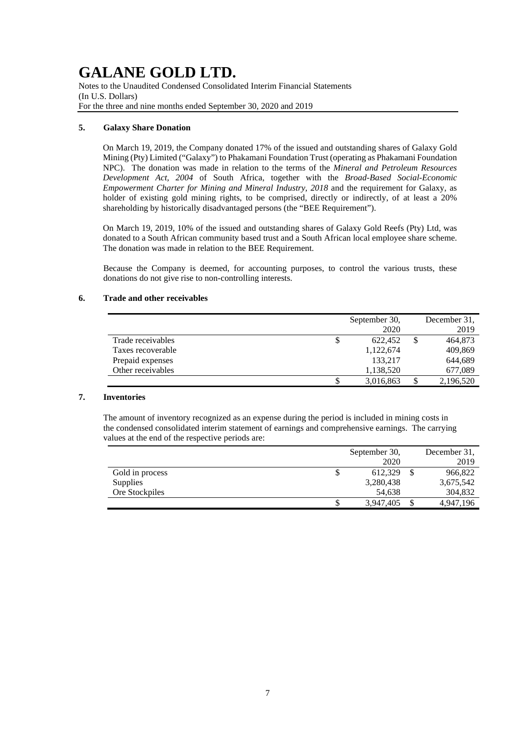Notes to the Unaudited Condensed Consolidated Interim Financial Statements (In U.S. Dollars) For the three and nine months ended September 30, 2020 and 2019

### **5. Galaxy Share Donation**

On March 19, 2019, the Company donated 17% of the issued and outstanding shares of Galaxy Gold Mining (Pty) Limited ("Galaxy") to Phakamani Foundation Trust (operating as Phakamani Foundation NPC). The donation was made in relation to the terms of the *Mineral and Petroleum Resources Development Act, 2004* of South Africa, together with the *Broad-Based Social-Economic Empowerment Charter for Mining and Mineral Industry, 2018* and the requirement for Galaxy, as holder of existing gold mining rights, to be comprised, directly or indirectly, of at least a 20% shareholding by historically disadvantaged persons (the "BEE Requirement").

On March 19, 2019, 10% of the issued and outstanding shares of Galaxy Gold Reefs (Pty) Ltd, was donated to a South African community based trust and a South African local employee share scheme. The donation was made in relation to the BEE Requirement.

Because the Company is deemed, for accounting purposes, to control the various trusts, these donations do not give rise to non-controlling interests.

## **6. Trade and other receivables**

|                   | September 30,   |   | December 31. |
|-------------------|-----------------|---|--------------|
|                   | 2020            |   | 2019         |
| Trade receivables | \$<br>622.452   |   | 464,873      |
| Taxes recoverable | 1,122,674       |   | 409,869      |
| Prepaid expenses  | 133.217         |   | 644,689      |
| Other receivables | 1,138,520       |   | 677,089      |
|                   | \$<br>3,016,863 | S | 2,196,520    |

## **7. Inventories**

The amount of inventory recognized as an expense during the period is included in mining costs in the condensed consolidated interim statement of earnings and comprehensive earnings. The carrying values at the end of the respective periods are:

|                 | September 30,   | December 31, |  |  |
|-----------------|-----------------|--------------|--|--|
|                 | 2020            | 2019         |  |  |
| Gold in process | \$<br>612.329   | 966,822      |  |  |
| <b>Supplies</b> | 3,280,438       | 3,675,542    |  |  |
| Ore Stockpiles  | 54.638          | 304,832      |  |  |
|                 | \$<br>3.947.405 | 4.947.196    |  |  |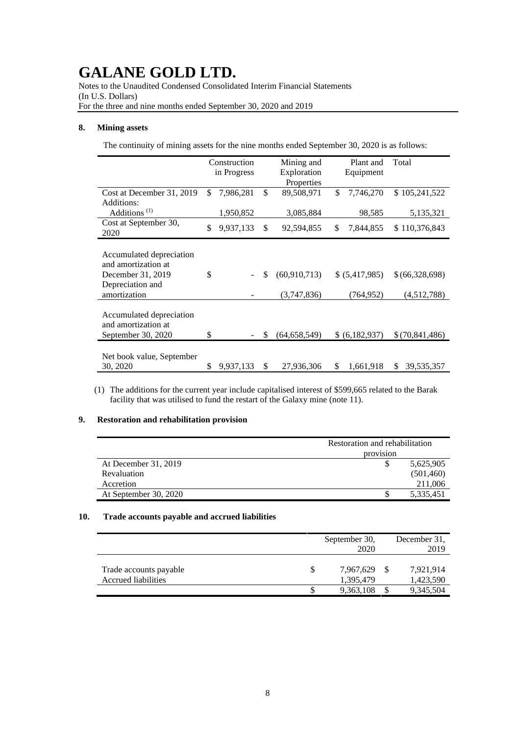Notes to the Unaudited Condensed Consolidated Interim Financial Statements (In U.S. Dollars) For the three and nine months ended September 30, 2020 and 2019

### **8. Mining assets**

The continuity of mining assets for the nine months ended September 30, 2020 is as follows:

|                                                                                                          | Construction<br>in Progress |           | Mining and<br>Plant and<br>Exploration<br>Equipment |                               |    |                             |                               |  | Total |
|----------------------------------------------------------------------------------------------------------|-----------------------------|-----------|-----------------------------------------------------|-------------------------------|----|-----------------------------|-------------------------------|--|-------|
| Cost at December 31, 2019                                                                                | \$                          | 7,986,281 | \$                                                  | Properties<br>89,508,971      | \$ | 7,746,270                   | \$105,241,522                 |  |       |
| Additions:<br>Additions <sup>(1)</sup>                                                                   |                             | 1,950,852 |                                                     | 3,085,884                     |    | 98,585                      | 5,135,321                     |  |       |
| Cost at September 30,<br>2020                                                                            | \$                          | 9,937,133 | \$                                                  | 92,594,855                    | \$ | 7,844,855                   | \$110,376,843                 |  |       |
| Accumulated depreciation<br>and amortization at<br>December 31, 2019<br>Depreciation and<br>amortization | \$                          |           | \$                                                  | (60, 910, 713)<br>(3,747,836) |    | \$ (5,417,985)<br>(764,952) | \$(66,328,698)<br>(4,512,788) |  |       |
| Accumulated depreciation<br>and amortization at<br>September 30, 2020                                    | \$                          |           | S                                                   | (64, 658, 549)                |    | \$ (6,182,937)              | \$(70,841,486)                |  |       |
| Net book value, September<br>30, 2020                                                                    | \$                          | 9,937,133 | \$                                                  | 27,936,306                    | \$ | 1,661,918                   | \$<br>39,535,357              |  |       |

(1) The additions for the current year include capitalised interest of \$599,665 related to the Barak facility that was utilised to fund the restart of the Galaxy mine (note 11).

## **9. Restoration and rehabilitation provision**

|                       | Restoration and rehabilitation |            |  |  |  |
|-----------------------|--------------------------------|------------|--|--|--|
|                       | provision                      |            |  |  |  |
| At December 31, 2019  |                                | 5,625,905  |  |  |  |
| Revaluation           |                                | (501, 460) |  |  |  |
| Accretion             |                                | 211,006    |  |  |  |
| At September 30, 2020 |                                | 5,335,451  |  |  |  |

### **10. Trade accounts payable and accrued liabilities**

|                        | September 30,<br>2020 | December 31.<br>2019 |           |  |
|------------------------|-----------------------|----------------------|-----------|--|
|                        |                       |                      |           |  |
| Trade accounts payable | 7,967,629             |                      | 7,921,914 |  |
| Accrued liabilities    | 1,395,479             |                      | 1,423,590 |  |
|                        | 9,363,108             |                      | 9,345,504 |  |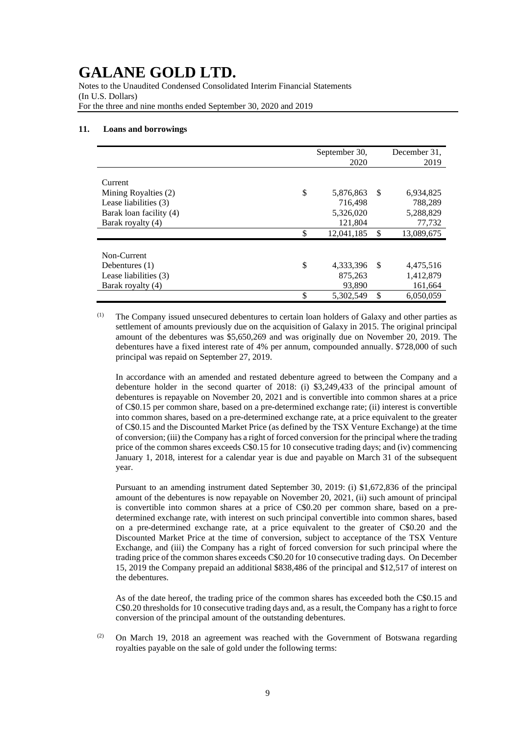Notes to the Unaudited Condensed Consolidated Interim Financial Statements (In U.S. Dollars) For the three and nine months ended September 30, 2020 and 2019

#### **11. Loans and borrowings**

|                         | September 30,    |      | December 31, |
|-------------------------|------------------|------|--------------|
|                         | 2020             |      | 2019         |
|                         |                  |      |              |
| Current                 |                  |      |              |
| Mining Royalties (2)    | \$<br>5,876,863  | -S   | 6,934,825    |
| Lease liabilities (3)   | 716,498          |      | 788.289      |
| Barak loan facility (4) | 5,326,020        |      | 5,288,829    |
| Barak royalty (4)       | 121,804          |      | 77,732       |
|                         | \$<br>12,041,185 | \$   | 13,089,675   |
|                         |                  |      |              |
| Non-Current             |                  |      |              |
| Debentures $(1)$        | \$<br>4,333,396  | - \$ | 4,475,516    |
| Lease liabilities (3)   | 875,263          |      | 1,412,879    |
| Barak royalty (4)       | 93,890           |      | 161,664      |
|                         | \$<br>5,302,549  | \$   | 6.050.059    |

 $(1)$  The Company issued unsecured debentures to certain loan holders of Galaxy and other parties as settlement of amounts previously due on the acquisition of Galaxy in 2015. The original principal amount of the debentures was \$5,650,269 and was originally due on November 20, 2019. The debentures have a fixed interest rate of 4% per annum, compounded annually. \$728,000 of such principal was repaid on September 27, 2019.

In accordance with an amended and restated debenture agreed to between the Company and a debenture holder in the second quarter of 2018: (i) \$3,249,433 of the principal amount of debentures is repayable on November 20, 2021 and is convertible into common shares at a price of C\$0.15 per common share, based on a pre-determined exchange rate; (ii) interest is convertible into common shares, based on a pre-determined exchange rate, at a price equivalent to the greater of C\$0.15 and the Discounted Market Price (as defined by the TSX Venture Exchange) at the time of conversion; (iii) the Company has a right of forced conversion for the principal where the trading price of the common shares exceeds C\$0.15 for 10 consecutive trading days; and (iv) commencing January 1, 2018, interest for a calendar year is due and payable on March 31 of the subsequent year.

Pursuant to an amending instrument dated September 30, 2019: (i) \$1,672,836 of the principal amount of the debentures is now repayable on November 20, 2021, (ii) such amount of principal is convertible into common shares at a price of C\$0.20 per common share, based on a predetermined exchange rate, with interest on such principal convertible into common shares, based on a pre-determined exchange rate, at a price equivalent to the greater of C\$0.20 and the Discounted Market Price at the time of conversion, subject to acceptance of the TSX Venture Exchange, and (iii) the Company has a right of forced conversion for such principal where the trading price of the common shares exceeds C\$0.20 for 10 consecutive trading days. On December 15, 2019 the Company prepaid an additional \$838,486 of the principal and \$12,517 of interest on the debentures.

As of the date hereof, the trading price of the common shares has exceeded both the C\$0.15 and C\$0.20 thresholds for 10 consecutive trading days and, as a result, the Company has a right to force conversion of the principal amount of the outstanding debentures.

(2) On March 19, 2018 an agreement was reached with the Government of Botswana regarding royalties payable on the sale of gold under the following terms: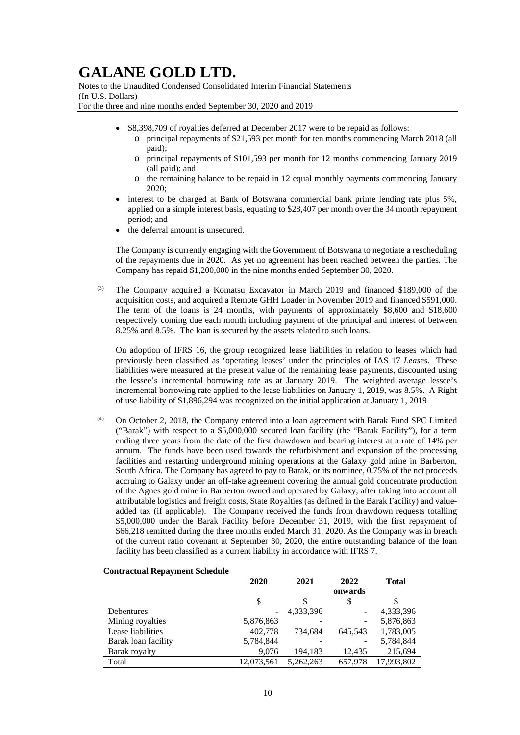Notes to the Unaudited Condensed Consolidated Interim Financial Statements (In U.S. Dollars) For the three and nine months ended September 30, 2020 and 2019

- \$8,398,709 of royalties deferred at December 2017 were to be repaid as follows:
	- o principal repayments of \$21,593 per month for ten months commencing March 2018 (all paid);
	- o principal repayments of \$101,593 per month for 12 months commencing January 2019 (all paid); and
	- o the remaining balance to be repaid in 12 equal monthly payments commencing January 2020;
- interest to be charged at Bank of Botswana commercial bank prime lending rate plus 5%, applied on a simple interest basis, equating to \$28,407 per month over the 34 month repayment period; and
- the deferral amount is unsecured.

The Company is currently engaging with the Government of Botswana to negotiate a rescheduling of the repayments due in 2020. As yet no agreement has been reached between the parties. The Company has repaid \$1,200,000 in the nine months ended September 30, 2020.

(3) The Company acquired a Komatsu Excavator in March 2019 and financed \$189,000 of the acquisition costs, and acquired a Remote GHH Loader in November 2019 and financed \$591,000. The term of the loans is 24 months, with payments of approximately \$8,600 and \$18,600 respectively coming due each month including payment of the principal and interest of between 8.25% and 8.5%. The loan is secured by the assets related to such loans.

On adoption of IFRS 16, the group recognized lease liabilities in relation to leases which had previously been classified as 'operating leases' under the principles of IAS 17 *Leases*. These liabilities were measured at the present value of the remaining lease payments, discounted using the lessee's incremental borrowing rate as at January 2019. The weighted average lessee's incremental borrowing rate applied to the lease liabilities on January 1, 2019, was 8.5%. A Right of use liability of \$1,896,294 was recognized on the initial application at January 1, 2019

(4) On October 2, 2018, the Company entered into a loan agreement with Barak Fund SPC Limited ("Barak") with respect to a \$5,000,000 secured loan facility (the "Barak Facility"), for a term ending three years from the date of the first drawdown and bearing interest at a rate of 14% per annum. The funds have been used towards the refurbishment and expansion of the processing facilities and restarting underground mining operations at the Galaxy gold mine in Barberton, South Africa. The Company has agreed to pay to Barak, or its nominee, 0.75% of the net proceeds accruing to Galaxy under an off-take agreement covering the annual gold concentrate production of the Agnes gold mine in Barberton owned and operated by Galaxy, after taking into account all attributable logistics and freight costs, State Royalties (as defined in the Barak Facility) and valueadded tax (if applicable). The Company received the funds from drawdown requests totalling \$5,000,000 under the Barak Facility before December 31, 2019, with the first repayment of \$66,218 remitted during the three months ended March 31, 2020. As the Company was in breach of the current ratio covenant at September 30, 2020, the entire outstanding balance of the loan facility has been classified as a current liability in accordance with IFRS 7.

### **Contractual Repayment Schedule**

|                     | 2020       | 2021      | 2022    | <b>Total</b> |
|---------------------|------------|-----------|---------|--------------|
|                     |            |           | onwards |              |
|                     | \$         | S         | \$      | \$           |
| Debentures          |            | 4,333,396 | -       | 4,333,396    |
| Mining royalties    | 5,876,863  |           | -       | 5,876,863    |
| Lease liabilities   | 402,778    | 734.684   | 645,543 | 1,783,005    |
| Barak loan facility | 5,784,844  |           | -       | 5,784,844    |
| Barak royalty       | 9,076      | 194,183   | 12,435  | 215,694      |
| Total               | 12,073,561 | 5.262.263 | 657,978 | 17,993,802   |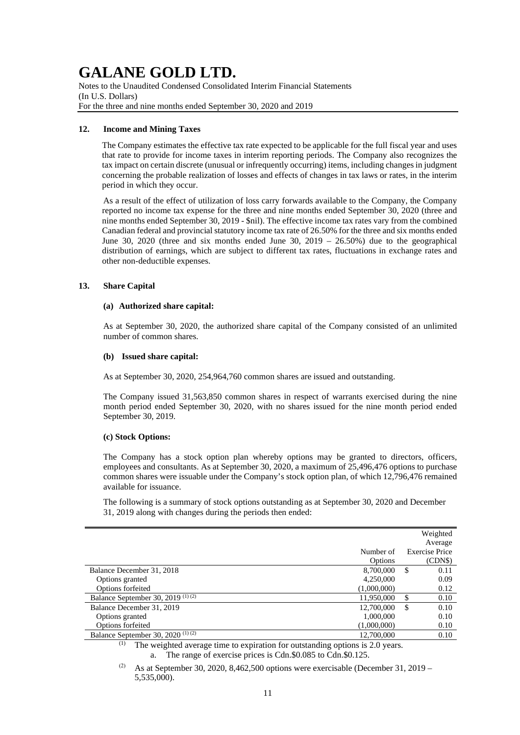Notes to the Unaudited Condensed Consolidated Interim Financial Statements (In U.S. Dollars) For the three and nine months ended September 30, 2020 and 2019

### **12. Income and Mining Taxes**

The Company estimates the effective tax rate expected to be applicable for the full fiscal year and uses that rate to provide for income taxes in interim reporting periods. The Company also recognizes the tax impact on certain discrete (unusual or infrequently occurring) items, including changes in judgment concerning the probable realization of losses and effects of changes in tax laws or rates, in the interim period in which they occur.

As a result of the effect of utilization of loss carry forwards available to the Company, the Company reported no income tax expense for the three and nine months ended September 30, 2020 (three and nine months ended September 30, 2019 - \$nil). The effective income tax rates vary from the combined Canadian federal and provincial statutory income tax rate of 26.50% for the three and six months ended June 30, 2020 (three and six months ended June 30, 2019 – 26.50%) due to the geographical distribution of earnings, which are subject to different tax rates, fluctuations in exchange rates and other non-deductible expenses.

### **13. Share Capital**

### **(a) Authorized share capital:**

As at September 30, 2020, the authorized share capital of the Company consisted of an unlimited number of common shares.

### **(b) Issued share capital:**

As at September 30, 2020, 254,964,760 common shares are issued and outstanding.

The Company issued 31,563,850 common shares in respect of warrants exercised during the nine month period ended September 30, 2020, with no shares issued for the nine month period ended September 30, 2019.

### **(c) Stock Options:**

The Company has a stock option plan whereby options may be granted to directors, officers, employees and consultants. As at September 30, 2020, a maximum of 25,496,476 options to purchase common shares were issuable under the Company's stock option plan, of which 12,796,476 remained available for issuance.

The following is a summary of stock options outstanding as at September 30, 2020 and December 31, 2019 along with changes during the periods then ended:

|                                                             |                       | Weighted<br>Average   |
|-------------------------------------------------------------|-----------------------|-----------------------|
|                                                             | Number of             | <b>Exercise Price</b> |
|                                                             | Options               | (CDN\$)               |
| Balance December 31, 2018                                   | 8,700,000             | S<br>0.11             |
| Options granted                                             | 4,250,000             | 0.09                  |
| Options forfeited                                           | (1,000,000)           | 0.12                  |
| Balance September 30, 2019 <sup>(1)(2)</sup>                | 11,950,000            | \$<br>0.10            |
| Balance December 31, 2019                                   | 12,700,000            | \$<br>0.10            |
| Options granted                                             | 1,000,000             | 0.10                  |
| <b>Options forfeited</b>                                    | (1,000,000)           | 0.10                  |
| Balance September 30, 2020 <sup>(1)(2)</sup>                | 12,700,000            | 0.10                  |
| $(1)$ $=$<br>$\cdots$<br>$\cdot$ $\cdot$ $\cdot$<br>$\cdot$ | $\cdot$ $\sim$ $\sim$ |                       |

 $(1)$  The weighted average time to expiration for outstanding options is 2.0 years. a. The range of exercise prices is Cdn.\$0.085 to Cdn.\$0.125.

<sup>(2)</sup> As at September 30, 2020, 8,462,500 options were exercisable (December 31, 2019 – 5,535,000).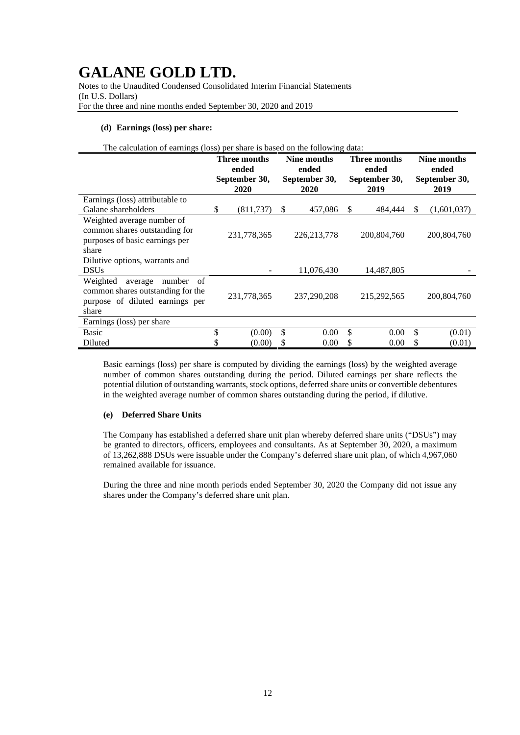Notes to the Unaudited Condensed Consolidated Interim Financial Statements (In U.S. Dollars) For the three and nine months ended September 30, 2020 and 2019

### **(d) Earnings (loss) per share:**

| The calculation of earnings (loss) per share is based on the following data:                                           |                                                |             |                                               |               |                                                |             |                                               |             |  |
|------------------------------------------------------------------------------------------------------------------------|------------------------------------------------|-------------|-----------------------------------------------|---------------|------------------------------------------------|-------------|-----------------------------------------------|-------------|--|
|                                                                                                                        | Three months<br>ended<br>September 30,<br>2020 |             | Nine months<br>ended<br>September 30,<br>2020 |               | Three months<br>ended<br>September 30,<br>2019 |             | Nine months<br>ended<br>September 30,<br>2019 |             |  |
| Earnings (loss) attributable to<br>Galane shareholders                                                                 | \$                                             | (811, 737)  | -S                                            | 457,086       | S                                              | 484,444     | \$                                            | (1,601,037) |  |
| Weighted average number of<br>common shares outstanding for<br>purposes of basic earnings per<br>share                 |                                                | 231,778,365 |                                               | 226, 213, 778 |                                                | 200,804,760 |                                               | 200,804,760 |  |
| Dilutive options, warrants and<br><b>DSUs</b>                                                                          |                                                |             |                                               | 11,076,430    |                                                | 14,487,805  |                                               |             |  |
| Weighted<br>number<br>average<br>- of<br>common shares outstanding for the<br>purpose of diluted earnings per<br>share |                                                | 231,778,365 |                                               | 237,290,208   |                                                | 215,292,565 |                                               | 200,804,760 |  |
| Earnings (loss) per share                                                                                              |                                                |             |                                               |               |                                                |             |                                               |             |  |
| <b>Basic</b>                                                                                                           | \$                                             | (0.00)      | \$                                            | 0.00          | \$                                             | 0.00        | \$                                            | (0.01)      |  |
| Diluted                                                                                                                |                                                | (0.00)      | S                                             | 0.00          | S                                              | 0.00        | \$                                            | (0.01)      |  |

Basic earnings (loss) per share is computed by dividing the earnings (loss) by the weighted average number of common shares outstanding during the period. Diluted earnings per share reflects the potential dilution of outstanding warrants, stock options, deferred share units or convertible debentures in the weighted average number of common shares outstanding during the period, if dilutive.

### **(e) Deferred Share Units**

The Company has established a deferred share unit plan whereby deferred share units ("DSUs") may be granted to directors, officers, employees and consultants. As at September 30, 2020, a maximum of 13,262,888 DSUs were issuable under the Company's deferred share unit plan, of which 4,967,060 remained available for issuance.

During the three and nine month periods ended September 30, 2020 the Company did not issue any shares under the Company's deferred share unit plan.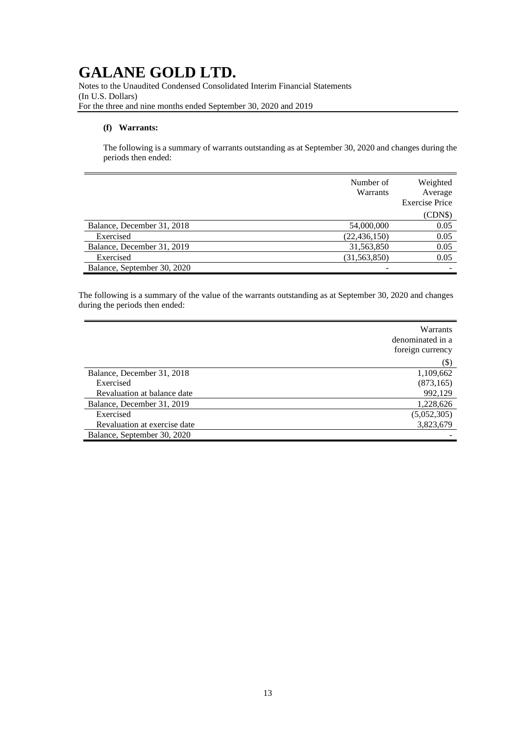Notes to the Unaudited Condensed Consolidated Interim Financial Statements (In U.S. Dollars) For the three and nine months ended September 30, 2020 and 2019

## **(f) Warrants:**

The following is a summary of warrants outstanding as at September 30, 2020 and changes during the periods then ended:

|                             | Number of<br>Warrants | Weighted<br>Average<br><b>Exercise Price</b> |
|-----------------------------|-----------------------|----------------------------------------------|
|                             |                       | (CDN\$)                                      |
| Balance, December 31, 2018  | 54,000,000            | 0.05                                         |
| Exercised                   | (22, 436, 150)        | 0.05                                         |
| Balance, December 31, 2019  | 31,563,850            | 0.05                                         |
| Exercised                   | (31, 563, 850)        | 0.05                                         |
| Balance, September 30, 2020 |                       |                                              |

The following is a summary of the value of the warrants outstanding as at September 30, 2020 and changes during the periods then ended:

|                              | Warrants<br>denominated in a<br>foreign currency |
|------------------------------|--------------------------------------------------|
|                              | $(\$)$                                           |
| Balance, December 31, 2018   | 1,109,662                                        |
| Exercised                    | (873, 165)                                       |
| Revaluation at balance date  | 992,129                                          |
| Balance, December 31, 2019   | 1,228,626                                        |
| Exercised                    | (5,052,305)                                      |
| Revaluation at exercise date | 3,823,679                                        |
| Balance, September 30, 2020  |                                                  |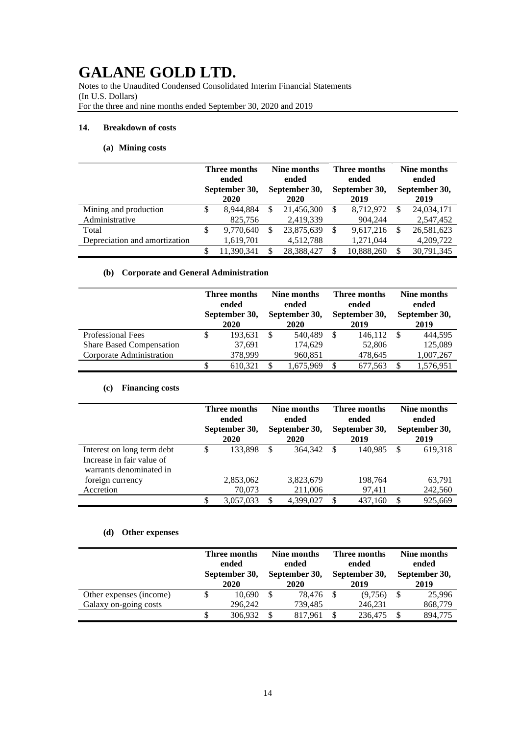Notes to the Unaudited Condensed Consolidated Interim Financial Statements (In U.S. Dollars) For the three and nine months ended September 30, 2020 and 2019

### **14. Breakdown of costs**

## **(a) Mining costs**

|                               | Three months<br>ended<br>September 30,<br>2020 | Nine months<br>ended<br>September 30,<br>2020 |            | Three months<br>ended<br>September 30,<br>2019 |            | Nine months<br>ended<br>September 30,<br>2019 |            |
|-------------------------------|------------------------------------------------|-----------------------------------------------|------------|------------------------------------------------|------------|-----------------------------------------------|------------|
| Mining and production         | 8.944.884                                      | S                                             | 21,456,300 | -S                                             | 8.712.972  | S                                             | 24,034,171 |
| Administrative                | 825,756                                        |                                               | 2,419,339  |                                                | 904.244    |                                               | 2,547,452  |
| Total                         | \$<br>9,770,640                                | S                                             | 23,875,639 | \$                                             | 9,617,216  |                                               | 26,581,623 |
| Depreciation and amortization | 1,619,701                                      |                                               | 4,512,788  |                                                | 1,271,044  |                                               | 4,209,722  |
|                               | 11.390.341                                     | S                                             | 28.388.427 | \$.                                            | 10,888,260 |                                               | 30.791.345 |

## **(b) Corporate and General Administration**

|                                 |   | Three months<br>ended<br>September 30,<br>2020 |               | Nine months<br>ended<br>September 30,<br>2020 |    | Three months<br>ended<br>September 30,<br>2019 |  | Nine months<br>ended<br>September 30,<br>2019 |  |
|---------------------------------|---|------------------------------------------------|---------------|-----------------------------------------------|----|------------------------------------------------|--|-----------------------------------------------|--|
| <b>Professional Fees</b>        | S | 193.631                                        | <sup>\$</sup> | 540.489                                       | \$ | 146.112                                        |  | 444.595                                       |  |
| <b>Share Based Compensation</b> |   | 37,691                                         |               | 174,629                                       |    | 52,806                                         |  | 125,089                                       |  |
| Corporate Administration        |   | 378,999                                        |               | 960.851                                       |    | 478,645                                        |  | 1,007,267                                     |  |
|                                 |   | 610.321                                        | \$.           | 1,675,969                                     | S  | 677,563                                        |  | 1,576,951                                     |  |

## **(c) Financing costs**

|                                                                                    |   | Three months<br>ended<br>September 30,<br>2020 |   | Nine months<br>ended<br>September 30,<br>2020 |               | Three months<br>ended<br>September 30,<br>2019 |   | Nine months<br>ended<br>September 30,<br>2019 |  |
|------------------------------------------------------------------------------------|---|------------------------------------------------|---|-----------------------------------------------|---------------|------------------------------------------------|---|-----------------------------------------------|--|
| Interest on long term debt<br>Increase in fair value of<br>warrants denominated in | S | 133.898                                        | S | 364,342                                       | <sup>\$</sup> | 140.985                                        | S | 619,318                                       |  |
| foreign currency                                                                   |   | 2,853,062                                      |   | 3,823,679                                     |               | 198,764                                        |   | 63,791                                        |  |
| Accretion                                                                          |   | 70,073                                         |   | 211,006                                       |               | 97,411                                         |   | 242,560                                       |  |
|                                                                                    | S | 3,057,033                                      | S | 4,399,027                                     | \$.           | 437,160                                        |   | 925,669                                       |  |

## **(d) Other expenses**

|                         | Three months<br>ended<br>September 30,<br>2020 |  | Nine months<br>ended<br>September 30,<br>2020 |  | Three months<br>ended<br>September 30,<br>2019 |  | Nine months<br>ended<br>September 30,<br>2019 |  |
|-------------------------|------------------------------------------------|--|-----------------------------------------------|--|------------------------------------------------|--|-----------------------------------------------|--|
| Other expenses (income) | 10.690                                         |  | 78.476                                        |  | (9,756)                                        |  | 25,996                                        |  |
| Galaxy on-going costs   | 296,242                                        |  | 739,485                                       |  | 246,231                                        |  | 868,779                                       |  |
|                         | 306.932                                        |  | 817,961                                       |  | 236,475                                        |  | 894,775                                       |  |